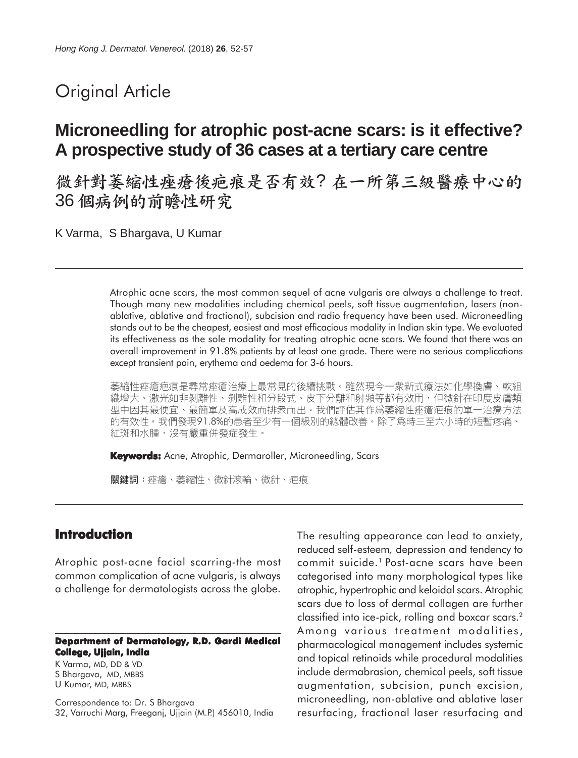# Original Article

# **Microneedling for atrophic post-acne scars: is it effective? A prospective study of 36 cases at a tertiary care centre**

微針對萎縮性痤瘡後疤痕是否有效?在一所第三級醫療中心的 36 個病例的前瞻性研究

K Varma, S Bhargava, U Kumar

Atrophic acne scars, the most common sequel of acne vulgaris are always a challenge to treat. Though many new modalities including chemical peels, soft tissue augmentation, lasers (nonablative, ablative and fractional), subcision and radio frequency have been used. Microneedling stands out to be the cheapest, easiest and most efficacious modality in Indian skin type. We evaluated its effectiveness as the sole modality for treating atrophic acne scars. We found that there was an overall improvement in 91.8% patients by at least one grade. There were no serious complications except transient pain, erythema and oedema for 3-6 hours.

萎縮性痤瘡疤痕是尋常痤瘡治療上最常見的後續挑戰。雖然現今一衆新式療法如化學換膚、軟組 織增大、激光如非剝離性、剝離性和分段式、皮下分離和射頻等都有效用,但微針在印度皮膚類 型中因其最便宜、最簡單及高成效而排衆而出。我們評估其作爲萎縮性痤瘡疤痕的單一治療方法 的有效性。我們發現91.8%的患者至少有一個級別的總體改善。除了爲時三至六小時的短暫疼痛、 紅斑和水腫,沒有嚴重併發症發生。

**Keywords:** Acne, Atrophic, Dermaroller, Microneedling, Scars

關鍵詞:痤瘡、萎縮性、微針滾輪、微針、疤痕

## **Introduction**

Atrophic post-acne facial scarring-the most common complication of acne vulgaris, is always a challenge for dermatologists across the globe.

#### **Department of Dermatology, R.D. Gardi Medical College, Ujjain, India**

K Varma, MD, DD & VD S Bhargava, MD, MBBS U Kumar, MD, MBBS

Correspondence to: Dr. S Bhargava 32, Varruchi Marg, Freeganj, Ujjain (M.P.) 456010, India The resulting appearance can lead to anxiety, reduced self-esteem*,* depression and tendency to commit suicide.1 Post-acne scars have been categorised into many morphological types like atrophic, hypertrophic and keloidal scars. Atrophic scars due to loss of dermal collagen are further classified into ice-pick, rolling and boxcar scars.2 Among various treatment modalities, pharmacological management includes systemic and topical retinoids while procedural modalities include dermabrasion, chemical peels, soft tissue augmentation, subcision, punch excision, microneedling, non-ablative and ablative laser resurfacing, fractional laser resurfacing and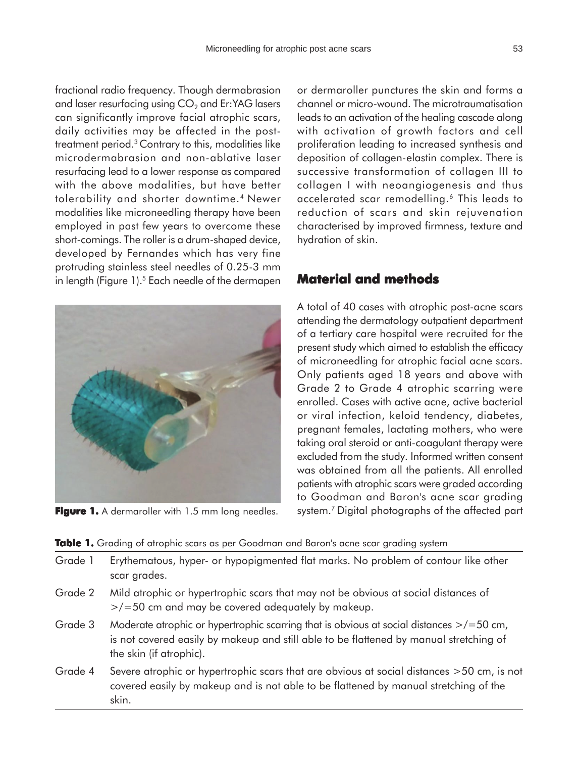fractional radio frequency. Though dermabrasion and laser resurfacing using  $CO<sub>2</sub>$  and Er:YAG lasers can significantly improve facial atrophic scars, daily activities may be affected in the posttreatment period.3 Contrary to this, modalities like microdermabrasion and non-ablative laser resurfacing lead to a lower response as compared with the above modalities, but have better tolerability and shorter downtime.4 Newer modalities like microneedling therapy have been employed in past few years to overcome these short-comings. The roller is a drum-shaped device, developed by Fernandes which has very fine protruding stainless steel needles of 0.25-3 mm in length (Figure  $1$ ).<sup>5</sup> Each needle of the dermapen



**Figure 1.** A dermaroller with 1.5 mm long needles.

or dermaroller punctures the skin and forms a channel or micro-wound. The microtraumatisation leads to an activation of the healing cascade along with activation of growth factors and cell proliferation leading to increased synthesis and deposition of collagen-elastin complex. There is successive transformation of collagen III to collagen I with neoangiogenesis and thus accelerated scar remodelling.6 This leads to reduction of scars and skin rejuvenation characterised by improved firmness, texture and hydration of skin.

# **Material and methods**

A total of 40 cases with atrophic post-acne scars attending the dermatology outpatient department of a tertiary care hospital were recruited for the present study which aimed to establish the efficacy of microneedling for atrophic facial acne scars. Only patients aged 18 years and above with Grade 2 to Grade 4 atrophic scarring were enrolled. Cases with active acne, active bacterial or viral infection, keloid tendency, diabetes, pregnant females, lactating mothers, who were taking oral steroid or anti-coagulant therapy were excluded from the study. Informed written consent was obtained from all the patients. All enrolled patients with atrophic scars were graded according to Goodman and Baron's acne scar grading system.7 Digital photographs of the affected part

#### **Table 1.** Grading of atrophic scars as per Goodman and Baron's acne scar grading system

| Grade 1 | Erythematous, hyper- or hypopigmented flat marks. No problem of contour like other<br>scar grades.                                                                                                                 |
|---------|--------------------------------------------------------------------------------------------------------------------------------------------------------------------------------------------------------------------|
| Grade 2 | Mild atrophic or hypertrophic scars that may not be obvious at social distances of<br>$\frac{1}{2}$ /=50 cm and may be covered adequately by makeup.                                                               |
| Grade 3 | Moderate atrophic or hypertrophic scarring that is obvious at social distances $\ge$ /=50 cm,<br>is not covered easily by makeup and still able to be flattened by manual stretching of<br>the skin (if atrophic). |
| Grade 4 | Severe atrophic or hypertrophic scars that are obvious at social distances >50 cm, is not<br>covered easily by makeup and is not able to be flattened by manual stretching of the                                  |

skin.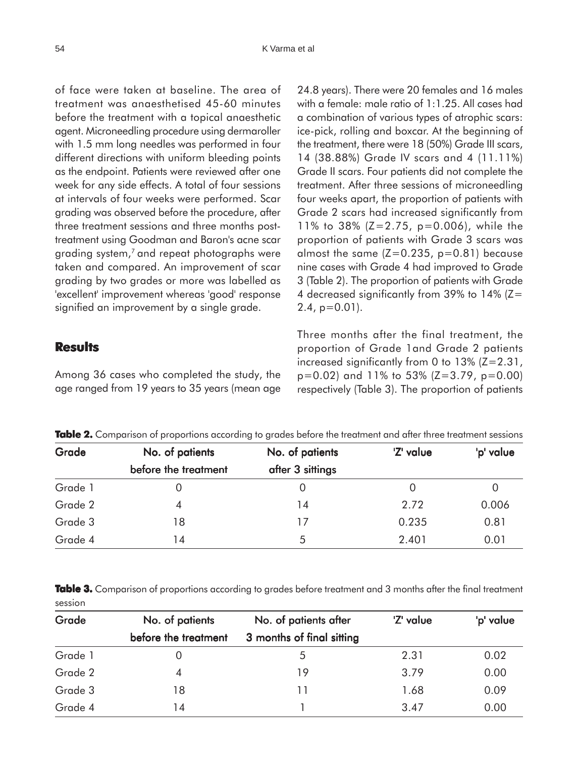of face were taken at baseline. The area of treatment was anaesthetised 45-60 minutes before the treatment with a topical anaesthetic agent. Microneedling procedure using dermaroller with 1.5 mm long needles was performed in four different directions with uniform bleeding points as the endpoint. Patients were reviewed after one week for any side effects. A total of four sessions at intervals of four weeks were performed. Scar grading was observed before the procedure, after three treatment sessions and three months posttreatment using Goodman and Baron's acne scar grading system,<sup>7</sup> and repeat photographs were taken and compared. An improvement of scar grading by two grades or more was labelled as 'excellent' improvement whereas 'good' response signified an improvement by a single grade.

## **Results**

Among 36 cases who completed the study, the age ranged from 19 years to 35 years (mean age 24.8 years). There were 20 females and 16 males with a female: male ratio of 1:1.25. All cases had a combination of various types of atrophic scars: ice-pick, rolling and boxcar. At the beginning of the treatment, there were 18 (50%) Grade III scars, 14 (38.88%) Grade IV scars and 4 (11.11%) Grade II scars. Four patients did not complete the treatment. After three sessions of microneedling four weeks apart, the proportion of patients with Grade 2 scars had increased significantly from 11% to 38% (Z=2.75, p=0.006), while the proportion of patients with Grade 3 scars was almost the same  $(Z=0.235, p=0.81)$  because nine cases with Grade 4 had improved to Grade 3 (Table 2). The proportion of patients with Grade 4 decreased significantly from 39% to 14% (Z=  $2.4$ ,  $p=0.01$ ).

Three months after the final treatment, the proportion of Grade 1and Grade 2 patients increased significantly from 0 to  $13\%$  ( $Z=2.31$ , p=0.02) and 11% to 53% (Z=3.79, p=0.00) respectively (Table 3). The proportion of patients

| Grade   | No. of patients<br>before the treatment | No. of patients<br>after 3 sittings | 'Z' value | 'p' value |
|---------|-----------------------------------------|-------------------------------------|-----------|-----------|
|         |                                         |                                     |           |           |
| Grade 2 |                                         | 14                                  | 2.72      | 0.006     |
| Grade 3 | 18                                      | 17                                  | 0.235     | 0.81      |
| Grade 4 | 14                                      | 5                                   | 2.401     | 0.01      |

**Table 2.** Comparison of proportions according to grades before the treatment and after three treatment sessions

Table 3. Comparison of proportions according to grades before treatment and 3 months after the final treatment session

| Grade   | No. of patients<br>before the treatment | No. of patients after<br>3 months of final sitting | 'Z' value | 'p' value |
|---------|-----------------------------------------|----------------------------------------------------|-----------|-----------|
|         |                                         |                                                    |           |           |
| Grade 2 |                                         | 19                                                 | 3.79      | 0.00      |
| Grade 3 | 18                                      | 11                                                 | 1.68      | 0.09      |
| Grade 4 | 14                                      |                                                    | 3.47      | 0.00      |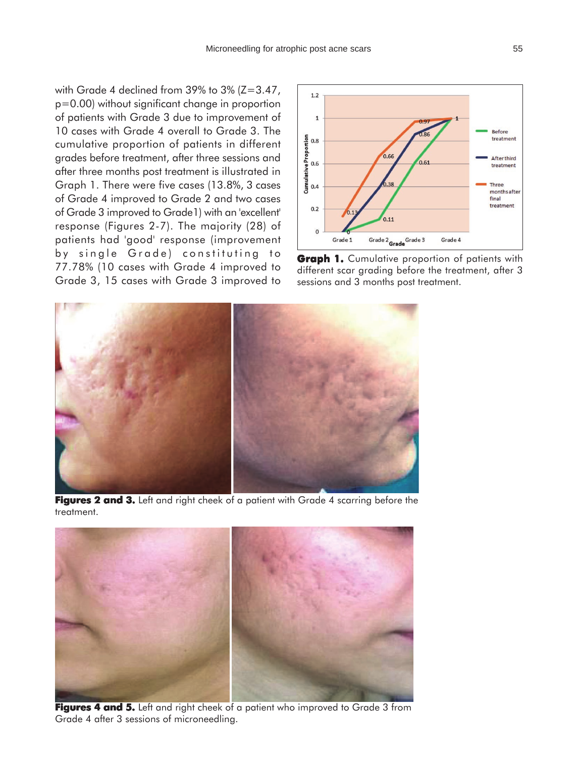with Grade 4 declined from 39% to  $3\%$  (Z=3.47, p=0.00) without significant change in proportion of patients with Grade 3 due to improvement of 10 cases with Grade 4 overall to Grade 3. The cumulative proportion of patients in different grades before treatment, after three sessions and after three months post treatment is illustrated in Graph 1. There were five cases (13.8%, 3 cases of Grade 4 improved to Grade 2 and two cases of Grade 3 improved to Grade1) with an 'excellent' response (Figures 2-7). The majority (28) of patients had 'good' response (improvement by single Grade) constituting to 77.78% (10 cases with Grade 4 improved to Grade 3, 15 cases with Grade 3 improved to



**Graph 1.** Cumulative proportion of patients with different scar grading before the treatment, after 3 sessions and 3 months post treatment.



Figures 2 and 3. Left and right cheek of a patient with Grade 4 scarring before the treatment.



Figures 4 and 5. Left and right cheek of a patient who improved to Grade 3 from Grade 4 after 3 sessions of microneedling.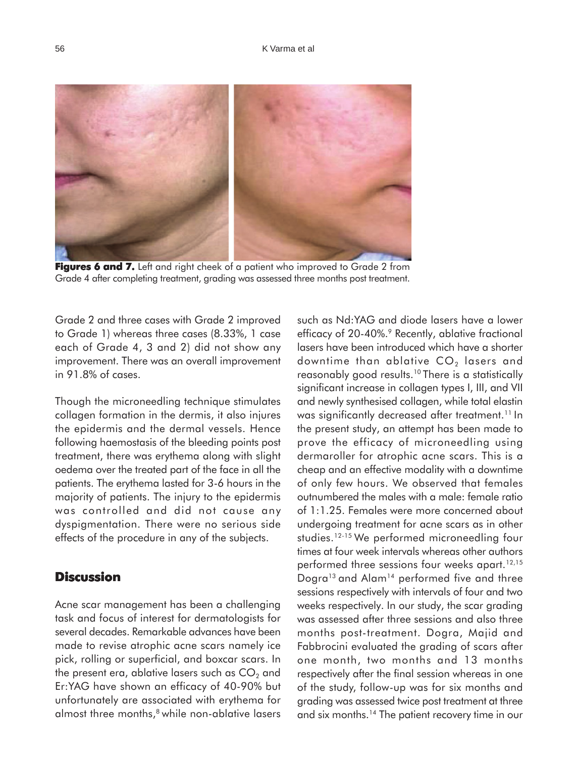

**Figures 6 and 7.** Left and right cheek of a patient who improved to Grade 2 from Grade 4 after completing treatment, grading was assessed three months post treatment.

Grade 2 and three cases with Grade 2 improved to Grade 1) whereas three cases (8.33%, 1 case each of Grade 4, 3 and 2) did not show any improvement. There was an overall improvement in 91.8% of cases.

Though the microneedling technique stimulates collagen formation in the dermis, it also injures the epidermis and the dermal vessels. Hence following haemostasis of the bleeding points post treatment, there was erythema along with slight oedema over the treated part of the face in all the patients. The erythema lasted for 3-6 hours in the majority of patients. The injury to the epidermis was controlled and did not cause any dyspigmentation. There were no serious side effects of the procedure in any of the subjects.

## **Discussion**

Acne scar management has been a challenging task and focus of interest for dermatologists for several decades. Remarkable advances have been made to revise atrophic acne scars namely ice pick, rolling or superficial, and boxcar scars. In the present era, ablative lasers such as  $CO<sub>2</sub>$  and Er:YAG have shown an efficacy of 40-90% but unfortunately are associated with erythema for almost three months,<sup>8</sup> while non-ablative lasers such as Nd:YAG and diode lasers have a lower efficacy of 20-40%.<sup>9</sup> Recently, ablative fractional lasers have been introduced which have a shorter downtime than ablative  $CO<sub>2</sub>$  lasers and reasonably good results.10 There is a statistically significant increase in collagen types I, III, and VII and newly synthesised collagen, while total elastin was significantly decreased after treatment.<sup>11</sup> In the present study, an attempt has been made to prove the efficacy of microneedling using dermaroller for atrophic acne scars. This is a cheap and an effective modality with a downtime of only few hours. We observed that females outnumbered the males with a male: female ratio of 1:1.25. Females were more concerned about undergoing treatment for acne scars as in other studies.12-15 We performed microneedling four times at four week intervals whereas other authors performed three sessions four weeks apart.<sup>12,15</sup> Dogra<sup>13</sup> and Alam<sup>14</sup> performed five and three sessions respectively with intervals of four and two weeks respectively. In our study, the scar grading was assessed after three sessions and also three months post-treatment. Dogra, Majid and Fabbrocini evaluated the grading of scars after one month, two months and 13 months respectively after the final session whereas in one of the study, follow-up was for six months and grading was assessed twice post treatment at three and six months.14 The patient recovery time in our